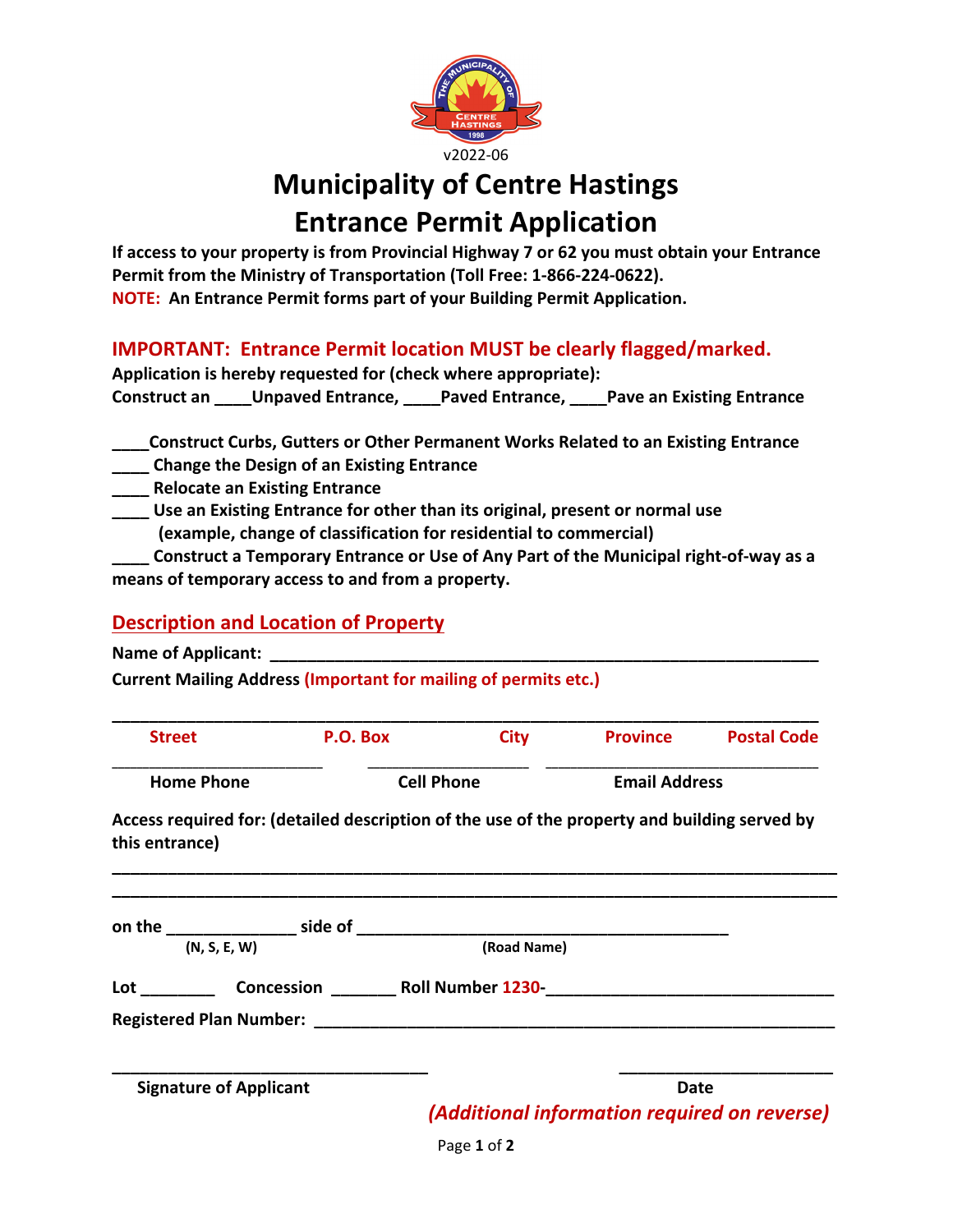

# **Municipality of Centre Hastings Entrance Permit Application**

**If access to your property is from Provincial Highway 7 or 62 you must obtain your Entrance Permit from the Ministry of Transportation (Toll Free: 1‐866‐224‐0622). NOTE: An Entrance Permit forms part of your Building Permit Application.** 

### **IMPORTANT: Entrance Permit location MUST be clearly flagged/marked.**

| Application is hereby requested for (check where appropriate): |                          |                 |                                  |  |  |  |
|----------------------------------------------------------------|--------------------------|-----------------|----------------------------------|--|--|--|
| Construct an                                                   | <b>Unpaved Entrance,</b> | Paved Entrance. | <b>Pave an Existing Entrance</b> |  |  |  |

**\_\_\_\_Construct Curbs, Gutters or Other Permanent Works Related to an Existing Entrance**

- **\_\_\_\_ Change the Design of an Existing Entrance**
- **\_\_\_\_ Relocate an Existing Entrance**
- **\_\_\_\_ Use an Existing Entrance for other than its original, present or normal use (example, change of classification for residential to commercial)**

Construct a Temporary Entrance or Use of Any Part of the Municipal right-of-way as a **means of temporary access to and from a property.**

#### **Description and Location of Property**

**Name of Applicant:** 

**Current Mailing Address (Important for mailing of permits etc.)**

| <b>Street</b>     | P.O. Box          | <b>City</b> | <b>Province</b>      | <b>Postal Code</b> |
|-------------------|-------------------|-------------|----------------------|--------------------|
| <b>Home Phone</b> | <b>Cell Phone</b> |             | <b>Email Address</b> |                    |

**Access required for: (detailed description of the use of the property and building served by this entrance)**

**\_\_\_\_\_\_\_\_\_\_\_\_\_\_\_\_\_\_\_\_\_\_\_\_\_\_\_\_\_\_\_\_\_\_\_\_\_\_\_\_\_\_\_\_\_\_\_\_\_\_\_\_\_\_\_\_\_\_\_\_\_\_\_\_\_\_\_\_\_\_\_\_\_\_\_\_\_\_ \_\_\_\_\_\_\_\_\_\_\_\_\_\_\_\_\_\_\_\_\_\_\_\_\_\_\_\_\_\_\_\_\_\_\_\_\_\_\_\_\_\_\_\_\_\_\_\_\_\_\_\_\_\_\_\_\_\_\_\_\_\_\_\_\_\_\_\_\_\_\_\_\_\_\_\_\_\_**

| side of<br>on the |                                |                          |                                                      |
|-------------------|--------------------------------|--------------------------|------------------------------------------------------|
|                   | (N, S, E, W)                   | (Road Name)              |                                                      |
| Lot               | Concession                     | <b>Roll Number 1230-</b> |                                                      |
|                   | <b>Registered Plan Number:</b> |                          |                                                      |
|                   | <b>Signature of Applicant</b>  |                          | Date<br>(Additional information required on reverse) |